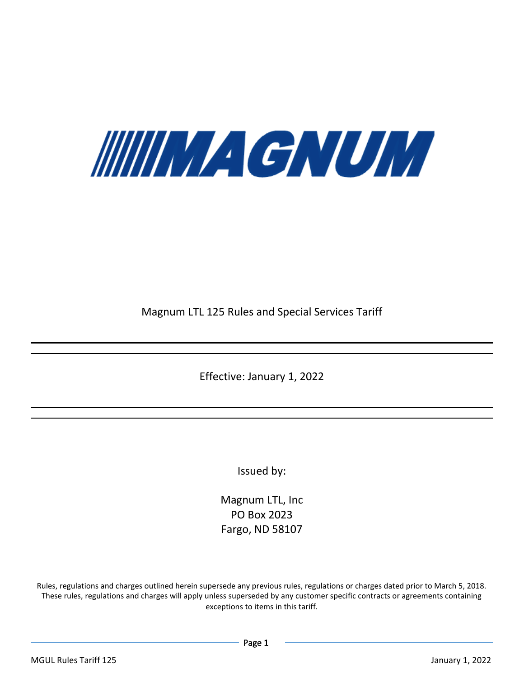

Magnum LTL 125 Rules and Special Services Tariff

Effective: January 1, 2022

Issued by:

Magnum LTL, Inc PO Box 2023 Fargo, ND 58107

Rules, regulations and charges outlined herein supersede any previous rules, regulations or charges dated prior to March 5, 2018. These rules, regulations and charges will apply unless superseded by any customer specific contracts or agreements containing exceptions to items in this tariff.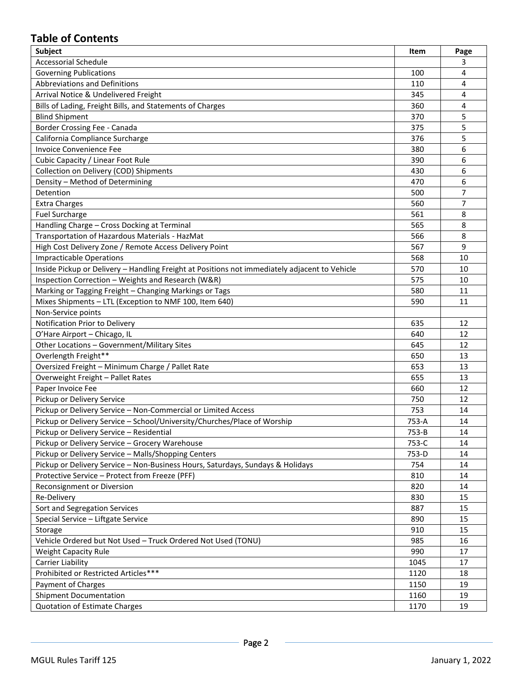# **Table of Contents**

| <b>Subject</b>                                                                                | Item  | Page           |
|-----------------------------------------------------------------------------------------------|-------|----------------|
| <b>Accessorial Schedule</b>                                                                   |       | 3              |
| <b>Governing Publications</b>                                                                 | 100   | 4              |
| Abbreviations and Definitions                                                                 | 110   | 4              |
| Arrival Notice & Undelivered Freight                                                          | 345   | 4              |
| Bills of Lading, Freight Bills, and Statements of Charges                                     | 360   | 4              |
| <b>Blind Shipment</b>                                                                         | 370   | 5              |
| Border Crossing Fee - Canada                                                                  | 375   | 5              |
| California Compliance Surcharge                                                               | 376   | 5              |
| <b>Invoice Convenience Fee</b>                                                                | 380   | 6              |
| Cubic Capacity / Linear Foot Rule                                                             | 390   | 6              |
| Collection on Delivery (COD) Shipments                                                        | 430   | 6              |
| Density - Method of Determining                                                               | 470   | 6              |
| Detention                                                                                     | 500   | $\overline{7}$ |
| <b>Extra Charges</b>                                                                          | 560   | 7              |
| <b>Fuel Surcharge</b>                                                                         | 561   | 8              |
| Handling Charge - Cross Docking at Terminal                                                   | 565   | 8              |
| Transportation of Hazardous Materials - HazMat                                                | 566   | 8              |
| High Cost Delivery Zone / Remote Access Delivery Point                                        | 567   | 9              |
| <b>Impracticable Operations</b>                                                               | 568   | 10             |
| Inside Pickup or Delivery - Handling Freight at Positions not immediately adjacent to Vehicle | 570   | 10             |
| Inspection Correction - Weights and Research (W&R)                                            | 575   | 10             |
| Marking or Tagging Freight - Changing Markings or Tags                                        | 580   | 11             |
| Mixes Shipments - LTL (Exception to NMF 100, Item 640)                                        | 590   | 11             |
| Non-Service points                                                                            |       |                |
| Notification Prior to Delivery                                                                | 635   | 12             |
| O'Hare Airport - Chicago, IL                                                                  | 640   | 12             |
| Other Locations - Government/Military Sites                                                   | 645   | 12             |
| Overlength Freight**                                                                          | 650   | 13             |
| Oversized Freight - Minimum Charge / Pallet Rate                                              | 653   | 13             |
| Overweight Freight - Pallet Rates                                                             | 655   | 13             |
| Paper Invoice Fee                                                                             | 660   | 12             |
| Pickup or Delivery Service                                                                    | 750   | 12             |
| Pickup or Delivery Service - Non-Commercial or Limited Access                                 | 753   | 14             |
| Pickup or Delivery Service - School/University/Churches/Place of Worship                      | 753-A | 14             |
| Pickup or Delivery Service - Residential                                                      | 753-B | 14             |
| Pickup or Delivery Service - Grocery Warehouse                                                | 753-C | 14             |
| Pickup or Delivery Service - Malls/Shopping Centers                                           | 753-D | 14             |
| Pickup or Delivery Service - Non-Business Hours, Saturdays, Sundays & Holidays                | 754   | 14             |
| Protective Service - Protect from Freeze (PFF)                                                | 810   | 14             |
| Reconsignment or Diversion                                                                    | 820   | 14             |
| Re-Delivery                                                                                   | 830   | 15             |
| Sort and Segregation Services                                                                 | 887   | 15             |
| Special Service - Liftgate Service                                                            | 890   | 15             |
| Storage                                                                                       | 910   | 15             |
| Vehicle Ordered but Not Used - Truck Ordered Not Used (TONU)                                  | 985   | 16             |
| <b>Weight Capacity Rule</b>                                                                   | 990   | 17             |
| Carrier Liability                                                                             | 1045  | 17             |
| Prohibited or Restricted Articles***                                                          | 1120  | 18             |
| Payment of Charges                                                                            | 1150  | 19             |
| <b>Shipment Documentation</b>                                                                 | 1160  | 19             |
| <b>Quotation of Estimate Charges</b>                                                          | 1170  | 19             |
|                                                                                               |       |                |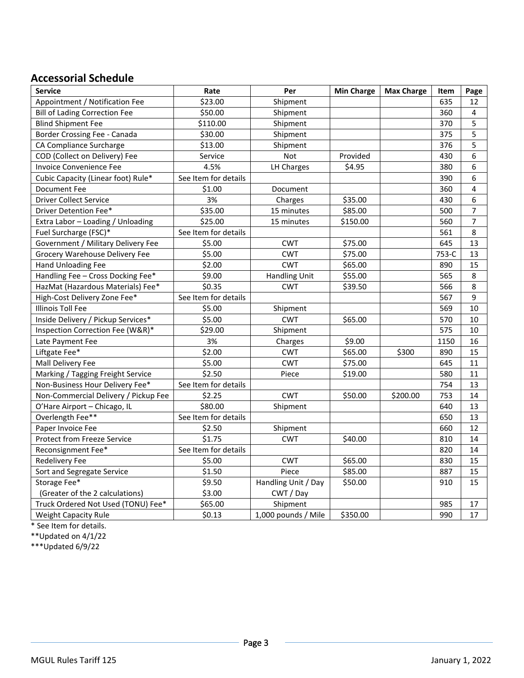# **Accessorial Schedule**

| <b>Service</b>                       | Rate                 | Per                  | <b>Min Charge</b> | <b>Max Charge</b> | Item  | Page           |
|--------------------------------------|----------------------|----------------------|-------------------|-------------------|-------|----------------|
| Appointment / Notification Fee       | \$23.00              | Shipment             |                   |                   | 635   | 12             |
| <b>Bill of Lading Correction Fee</b> | \$50.00              | Shipment             |                   |                   | 360   | 4              |
| <b>Blind Shipment Fee</b>            | \$110.00             | Shipment             |                   |                   | 370   | 5              |
| Border Crossing Fee - Canada         | \$30.00              | Shipment             |                   |                   | 375   | 5              |
| CA Compliance Surcharge              | \$13.00              | Shipment             |                   |                   | 376   | 5              |
| COD (Collect on Delivery) Fee        | Service              | Not                  | Provided          |                   | 430   | 6              |
| Invoice Convenience Fee              | 4.5%                 | LH Charges           | \$4.95            |                   | 380   | 6              |
| Cubic Capacity (Linear foot) Rule*   | See Item for details |                      |                   |                   | 390   | 6              |
| <b>Document Fee</b>                  | \$1.00               | Document             |                   |                   | 360   | 4              |
| <b>Driver Collect Service</b>        | 3%                   | Charges              | \$35.00           |                   | 430   | 6              |
| Driver Detention Fee*                | \$35.00              | 15 minutes           | \$85.00           |                   | 500   | $\overline{7}$ |
| Extra Labor - Loading / Unloading    | \$25.00              | 15 minutes           | \$150.00          |                   | 560   | $\overline{7}$ |
| Fuel Surcharge (FSC)*                | See Item for details |                      |                   |                   | 561   | 8              |
| Government / Military Delivery Fee   | \$5.00               | <b>CWT</b>           | \$75.00           |                   | 645   | 13             |
| Grocery Warehouse Delivery Fee       | \$5.00               | <b>CWT</b>           | \$75.00           |                   | 753-C | 13             |
| Hand Unloading Fee                   | \$2.00               | <b>CWT</b>           | \$65.00           |                   | 890   | 15             |
| Handling Fee - Cross Docking Fee*    | \$9.00               | <b>Handling Unit</b> | \$55.00           |                   | 565   | 8              |
| HazMat (Hazardous Materials) Fee*    | \$0.35               | <b>CWT</b>           | \$39.50           |                   | 566   | 8              |
| High-Cost Delivery Zone Fee*         | See Item for details |                      |                   |                   | 567   | 9              |
| <b>Illinois Toll Fee</b>             | \$5.00               | Shipment             |                   |                   | 569   | 10             |
| Inside Delivery / Pickup Services*   | \$5.00               | <b>CWT</b>           | \$65.00           |                   | 570   | 10             |
| Inspection Correction Fee (W&R)*     | \$29.00              | Shipment             |                   |                   | 575   | 10             |
| Late Payment Fee                     | 3%                   | Charges              | \$9.00            |                   | 1150  | 16             |
| Liftgate Fee*                        | \$2.00               | <b>CWT</b>           | \$65.00           | \$300             | 890   | 15             |
| Mall Delivery Fee                    | \$5.00               | <b>CWT</b>           | \$75.00           |                   | 645   | 11             |
| Marking / Tagging Freight Service    | \$2.50               | Piece                | \$19.00           |                   | 580   | 11             |
| Non-Business Hour Delivery Fee*      | See Item for details |                      |                   |                   | 754   | 13             |
| Non-Commercial Delivery / Pickup Fee | \$2.25               | <b>CWT</b>           | \$50.00           | \$200.00          | 753   | 14             |
| O'Hare Airport - Chicago, IL         | \$80.00              | Shipment             |                   |                   | 640   | 13             |
| Overlength Fee**                     | See Item for details |                      |                   |                   | 650   | 13             |
| Paper Invoice Fee                    | \$2.50               | Shipment             |                   |                   | 660   | 12             |
| Protect from Freeze Service          | \$1.75               | <b>CWT</b>           | \$40.00           |                   | 810   | 14             |
| Reconsignment Fee*                   | See Item for details |                      |                   |                   | 820   | 14             |
| <b>Redelivery Fee</b>                | \$5.00               | <b>CWT</b>           | \$65.00           |                   | 830   | 15             |
| Sort and Segregate Service           | \$1.50               | Piece                | \$85.00           |                   | 887   | 15             |
| Storage Fee*                         | \$9.50               | Handling Unit / Day  | \$50.00           |                   | 910   | 15             |
| (Greater of the 2 calculations)      | \$3.00               | CWT / Day            |                   |                   |       |                |
| Truck Ordered Not Used (TONU) Fee*   | \$65.00              | Shipment             |                   |                   | 985   | 17             |
| <b>Weight Capacity Rule</b>          | \$0.13               | 1,000 pounds / Mile  | \$350.00          |                   | 990   | 17             |

\* See Item for details.

\*\*Updated on 4/1/22

\*\*\*Updated 6/9/22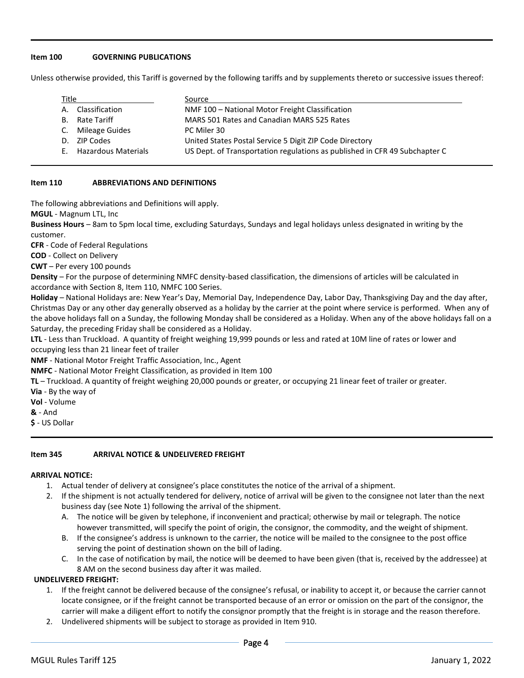# **Item 100 GOVERNING PUBLICATIONS**

Unless otherwise provided, this Tariff is governed by the following tariffs and by supplements thereto or successive issues thereof:

| Title |                            | Source                                                                     |
|-------|----------------------------|----------------------------------------------------------------------------|
| А.    | Classification             | NMF 100 - National Motor Freight Classification                            |
| B.    | Rate Tariff                | MARS 501 Rates and Canadian MARS 525 Rates                                 |
|       | C. Mileage Guides          | PC Miler 30                                                                |
| D.    | ZIP Codes                  | United States Postal Service 5 Digit ZIP Code Directory                    |
| F.    | <b>Hazardous Materials</b> | US Dept. of Transportation regulations as published in CFR 49 Subchapter C |

## **Item 110 ABBREVIATIONS AND DEFINITIONS**

The following abbreviations and Definitions will apply.

**MGUL** - Magnum LTL, Inc

**Business Hours** – 8am to 5pm local time, excluding Saturdays, Sundays and legal holidays unless designated in writing by the customer.

**CFR** - Code of Federal Regulations

**COD** - Collect on Delivery

**CWT** – Per every 100 pounds

**Density** – For the purpose of determining NMFC density-based classification, the dimensions of articles will be calculated in accordance with Section 8, Item 110, NMFC 100 Series.

**Holiday** – National Holidays are: New Year's Day, Memorial Day, Independence Day, Labor Day, Thanksgiving Day and the day after, Christmas Day or any other day generally observed as a holiday by the carrier at the point where service is performed. When any of the above holidays fall on a Sunday, the following Monday shall be considered as a Holiday. When any of the above holidays fall on a Saturday, the preceding Friday shall be considered as a Holiday.

**LTL** - Less than Truckload. A quantity of freight weighing 19,999 pounds or less and rated at 10M line of rates or lower and occupying less than 21 linear feet of trailer

**NMF** - National Motor Freight Traffic Association, Inc., Agent

**NMFC** - National Motor Freight Classification, as provided in Item 100

**TL** – Truckload. A quantity of freight weighing 20,000 pounds or greater, or occupying 21 linear feet of trailer or greater.

**Via** - By the way of

**Vol** - Volume

**&** - And

**\$** - US Dollar

## **Item 345 ARRIVAL NOTICE & UNDELIVERED FREIGHT**

## **ARRIVAL NOTICE:**

- 1. Actual tender of delivery at consignee's place constitutes the notice of the arrival of a shipment.
- 2. If the shipment is not actually tendered for delivery, notice of arrival will be given to the consignee not later than the next business day (see Note 1) following the arrival of the shipment.
	- A. The notice will be given by telephone, if inconvenient and practical; otherwise by mail or telegraph. The notice however transmitted, will specify the point of origin, the consignor, the commodity, and the weight of shipment.
	- B. If the consignee's address is unknown to the carrier, the notice will be mailed to the consignee to the post office serving the point of destination shown on the bill of lading.
	- C. In the case of notification by mail, the notice will be deemed to have been given (that is, received by the addressee) at 8 AM on the second business day after it was mailed.

## **UNDELIVERED FREIGHT:**

- 1. If the freight cannot be delivered because of the consignee's refusal, or inability to accept it, or because the carrier cannot locate consignee, or if the freight cannot be transported because of an error or omission on the part of the consignor, the carrier will make a diligent effort to notify the consignor promptly that the freight is in storage and the reason therefore.
- 2. Undelivered shipments will be subject to storage as provided in Item 910.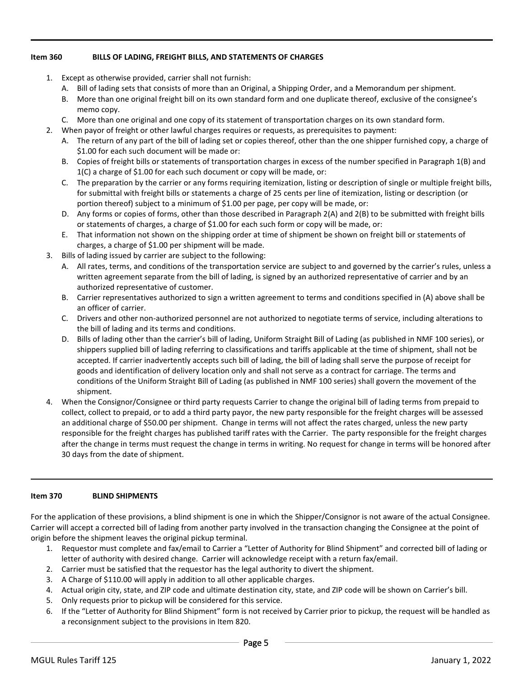# **Item 360 BILLS OF LADING, FREIGHT BILLS, AND STATEMENTS OF CHARGES**

- 1. Except as otherwise provided, carrier shall not furnish:
	- A. Bill of lading sets that consists of more than an Original, a Shipping Order, and a Memorandum per shipment.
	- B. More than one original freight bill on its own standard form and one duplicate thereof, exclusive of the consignee's memo copy.
	- C. More than one original and one copy of its statement of transportation charges on its own standard form.
- 2. When payor of freight or other lawful charges requires or requests, as prerequisites to payment:
	- A. The return of any part of the bill of lading set or copies thereof, other than the one shipper furnished copy, a charge of \$1.00 for each such document will be made or:
	- B. Copies of freight bills or statements of transportation charges in excess of the number specified in Paragraph 1(B) and 1(C) a charge of \$1.00 for each such document or copy will be made, or:
	- C. The preparation by the carrier or any forms requiring itemization, listing or description of single or multiple freight bills, for submittal with freight bills or statements a charge of 25 cents per line of itemization, listing or description (or portion thereof) subject to a minimum of \$1.00 per page, per copy will be made, or:
	- D. Any forms or copies of forms, other than those described in Paragraph 2(A) and 2(B) to be submitted with freight bills or statements of charges, a charge of \$1.00 for each such form or copy will be made, or:
	- E. That information not shown on the shipping order at time of shipment be shown on freight bill or statements of charges, a charge of \$1.00 per shipment will be made.
- 3. Bills of lading issued by carrier are subject to the following:
	- A. All rates, terms, and conditions of the transportation service are subject to and governed by the carrier's rules, unless a written agreement separate from the bill of lading, is signed by an authorized representative of carrier and by an authorized representative of customer.
	- B. Carrier representatives authorized to sign a written agreement to terms and conditions specified in (A) above shall be an officer of carrier.
	- C. Drivers and other non-authorized personnel are not authorized to negotiate terms of service, including alterations to the bill of lading and its terms and conditions.
	- D. Bills of lading other than the carrier's bill of lading, Uniform Straight Bill of Lading (as published in NMF 100 series), or shippers supplied bill of lading referring to classifications and tariffs applicable at the time of shipment, shall not be accepted. If carrier inadvertently accepts such bill of lading, the bill of lading shall serve the purpose of receipt for goods and identification of delivery location only and shall not serve as a contract for carriage. The terms and conditions of the Uniform Straight Bill of Lading (as published in NMF 100 series) shall govern the movement of the shipment.
- 4. When the Consignor/Consignee or third party requests Carrier to change the original bill of lading terms from prepaid to collect, collect to prepaid, or to add a third party payor, the new party responsible for the freight charges will be assessed an additional charge of \$50.00 per shipment. Change in terms will not affect the rates charged, unless the new party responsible for the freight charges has published tariff rates with the Carrier. The party responsible for the freight charges after the change in terms must request the change in terms in writing. No request for change in terms will be honored after 30 days from the date of shipment.

## **Item 370 BLIND SHIPMENTS**

For the application of these provisions, a blind shipment is one in which the Shipper/Consignor is not aware of the actual Consignee. Carrier will accept a corrected bill of lading from another party involved in the transaction changing the Consignee at the point of origin before the shipment leaves the original pickup terminal.

- 1. Requestor must complete and fax/email to Carrier a "Letter of Authority for Blind Shipment" and corrected bill of lading or letter of authority with desired change. Carrier will acknowledge receipt with a return fax/email.
- 2. Carrier must be satisfied that the requestor has the legal authority to divert the shipment.
- 3. A Charge of \$110.00 will apply in addition to all other applicable charges.
- 4. Actual origin city, state, and ZIP code and ultimate destination city, state, and ZIP code will be shown on Carrier's bill.
- 5. Only requests prior to pickup will be considered for this service.
- 6. If the "Letter of Authority for Blind Shipment" form is not received by Carrier prior to pickup, the request will be handled as a reconsignment subject to the provisions in Item 820.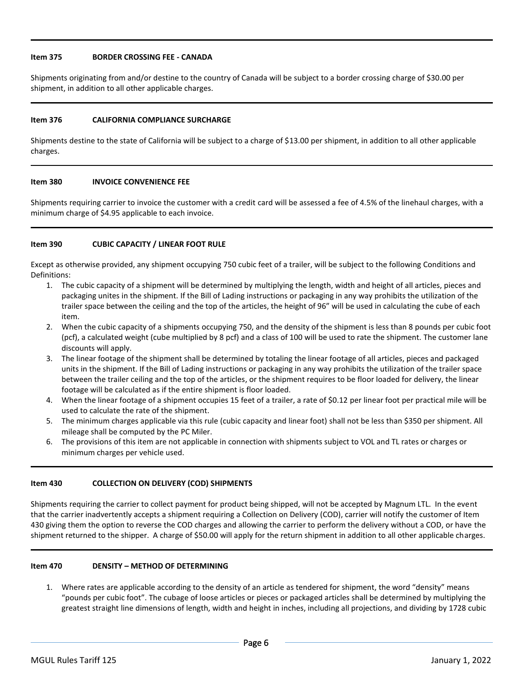## **Item 375 BORDER CROSSING FEE - CANADA**

Shipments originating from and/or destine to the country of Canada will be subject to a border crossing charge of \$30.00 per shipment, in addition to all other applicable charges.

#### **Item 376 CALIFORNIA COMPLIANCE SURCHARGE**

Shipments destine to the state of California will be subject to a charge of \$13.00 per shipment, in addition to all other applicable charges.

## **Item 380 INVOICE CONVENIENCE FEE**

Shipments requiring carrier to invoice the customer with a credit card will be assessed a fee of 4.5% of the linehaul charges, with a minimum charge of \$4.95 applicable to each invoice.

## **Item 390 CUBIC CAPACITY / LINEAR FOOT RULE**

Except as otherwise provided, any shipment occupying 750 cubic feet of a trailer, will be subject to the following Conditions and Definitions:

- 1. The cubic capacity of a shipment will be determined by multiplying the length, width and height of all articles, pieces and packaging unites in the shipment. If the Bill of Lading instructions or packaging in any way prohibits the utilization of the trailer space between the ceiling and the top of the articles, the height of 96" will be used in calculating the cube of each item.
- 2. When the cubic capacity of a shipments occupying 750, and the density of the shipment is less than 8 pounds per cubic foot (pcf), a calculated weight (cube multiplied by 8 pcf) and a class of 100 will be used to rate the shipment. The customer lane discounts will apply.
- 3. The linear footage of the shipment shall be determined by totaling the linear footage of all articles, pieces and packaged units in the shipment. If the Bill of Lading instructions or packaging in any way prohibits the utilization of the trailer space between the trailer ceiling and the top of the articles, or the shipment requires to be floor loaded for delivery, the linear footage will be calculated as if the entire shipment is floor loaded.
- 4. When the linear footage of a shipment occupies 15 feet of a trailer, a rate of \$0.12 per linear foot per practical mile will be used to calculate the rate of the shipment.
- 5. The minimum charges applicable via this rule (cubic capacity and linear foot) shall not be less than \$350 per shipment. All mileage shall be computed by the PC Miler.
- 6. The provisions of this item are not applicable in connection with shipments subject to VOL and TL rates or charges or minimum charges per vehicle used.

#### **Item 430 COLLECTION ON DELIVERY (COD) SHIPMENTS**

Shipments requiring the carrier to collect payment for product being shipped, will not be accepted by Magnum LTL. In the event that the carrier inadvertently accepts a shipment requiring a Collection on Delivery (COD), carrier will notify the customer of Item 430 giving them the option to reverse the COD charges and allowing the carrier to perform the delivery without a COD, or have the shipment returned to the shipper. A charge of \$50.00 will apply for the return shipment in addition to all other applicable charges.

## **Item 470 DENSITY – METHOD OF DETERMINING**

1. Where rates are applicable according to the density of an article as tendered for shipment, the word "density" means "pounds per cubic foot". The cubage of loose articles or pieces or packaged articles shall be determined by multiplying the greatest straight line dimensions of length, width and height in inches, including all projections, and dividing by 1728 cubic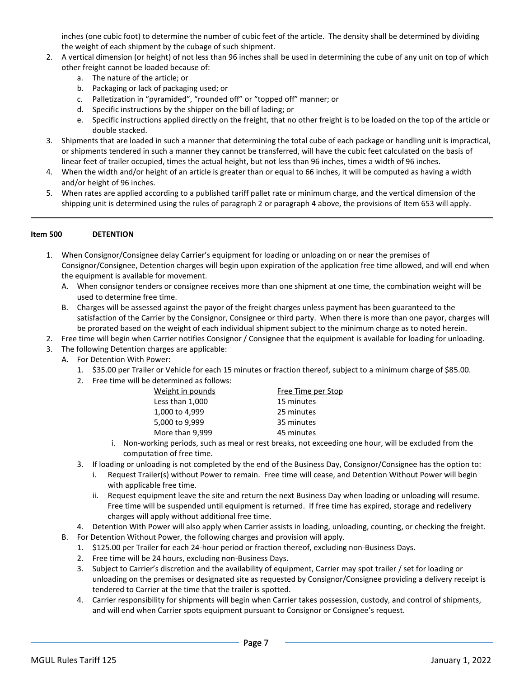inches (one cubic foot) to determine the number of cubic feet of the article. The density shall be determined by dividing the weight of each shipment by the cubage of such shipment.

- 2. A vertical dimension (or height) of not less than 96 inches shall be used in determining the cube of any unit on top of which other freight cannot be loaded because of:
	- a. The nature of the article; or
	- b. Packaging or lack of packaging used; or
	- c. Palletization in "pyramided", "rounded off" or "topped off" manner; or
	- d. Specific instructions by the shipper on the bill of lading; or
	- e. Specific instructions applied directly on the freight, that no other freight is to be loaded on the top of the article or double stacked.
- 3. Shipments that are loaded in such a manner that determining the total cube of each package or handling unit is impractical, or shipments tendered in such a manner they cannot be transferred, will have the cubic feet calculated on the basis of linear feet of trailer occupied, times the actual height, but not less than 96 inches, times a width of 96 inches.
- 4. When the width and/or height of an article is greater than or equal to 66 inches, it will be computed as having a width and/or height of 96 inches.
- 5. When rates are applied according to a published tariff pallet rate or minimum charge, and the vertical dimension of the shipping unit is determined using the rules of paragraph 2 or paragraph 4 above, the provisions of Item 653 will apply.

## **Item 500 DETENTION**

- 1. When Consignor/Consignee delay Carrier's equipment for loading or unloading on or near the premises of Consignor/Consignee, Detention charges will begin upon expiration of the application free time allowed, and will end when the equipment is available for movement.
	- A. When consignor tenders or consignee receives more than one shipment at one time, the combination weight will be used to determine free time.
	- B. Charges will be assessed against the payor of the freight charges unless payment has been guaranteed to the satisfaction of the Carrier by the Consignor, Consignee or third party. When there is more than one payor, charges will be prorated based on the weight of each individual shipment subject to the minimum charge as to noted herein.
- 2. Free time will begin when Carrier notifies Consignor / Consignee that the equipment is available for loading for unloading.
- 3. The following Detention charges are applicable:
	- A. For Detention With Power:
		- 1. \$35.00 per Trailer or Vehicle for each 15 minutes or fraction thereof, subject to a minimum charge of \$85.00.
		- 2. Free time will be determined as follows:

| Weight in pounds | Free Time per Stop |
|------------------|--------------------|
| Less than 1,000  | 15 minutes         |
| 1,000 to 4,999   | 25 minutes         |
| 5,000 to 9,999   | 35 minutes         |
| More than 9,999  | 45 minutes         |

- i. Non-working periods, such as meal or rest breaks, not exceeding one hour, will be excluded from the computation of free time.
- 3. If loading or unloading is not completed by the end of the Business Day, Consignor/Consignee has the option to:
	- i. Request Trailer(s) without Power to remain. Free time will cease, and Detention Without Power will begin with applicable free time.
	- ii. Request equipment leave the site and return the next Business Day when loading or unloading will resume. Free time will be suspended until equipment is returned. If free time has expired, storage and redelivery charges will apply without additional free time.
- 4. Detention With Power will also apply when Carrier assists in loading, unloading, counting, or checking the freight.
- B. For Detention Without Power, the following charges and provision will apply.
	- 1. \$125.00 per Trailer for each 24-hour period or fraction thereof, excluding non-Business Days.
	- 2. Free time will be 24 hours, excluding non-Business Days.
	- 3. Subject to Carrier's discretion and the availability of equipment, Carrier may spot trailer / set for loading or unloading on the premises or designated site as requested by Consignor/Consignee providing a delivery receipt is tendered to Carrier at the time that the trailer is spotted.
	- 4. Carrier responsibility for shipments will begin when Carrier takes possession, custody, and control of shipments, and will end when Carrier spots equipment pursuant to Consignor or Consignee's request.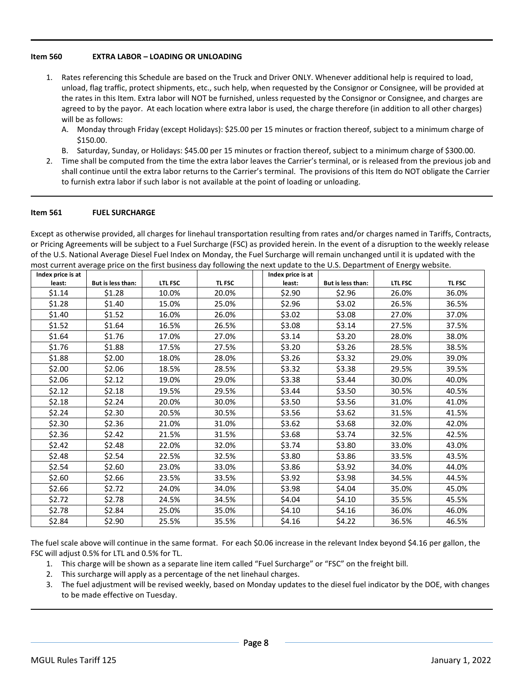## **Item 560 EXTRA LABOR – LOADING OR UNLOADING**

- 1. Rates referencing this Schedule are based on the Truck and Driver ONLY. Whenever additional help is required to load, unload, flag traffic, protect shipments, etc., such help, when requested by the Consignor or Consignee, will be provided at the rates in this Item. Extra labor will NOT be furnished, unless requested by the Consignor or Consignee, and charges are agreed to by the payor. At each location where extra labor is used, the charge therefore (in addition to all other charges) will be as follows:
	- A. Monday through Friday (except Holidays): \$25.00 per 15 minutes or fraction thereof, subject to a minimum charge of \$150.00.
	- B. Saturday, Sunday, or Holidays: \$45.00 per 15 minutes or fraction thereof, subject to a minimum charge of \$300.00.
- 2. Time shall be computed from the time the extra labor leaves the Carrier's terminal, or is released from the previous job and shall continue until the extra labor returns to the Carrier's terminal. The provisions of this Item do NOT obligate the Carrier to furnish extra labor if such labor is not available at the point of loading or unloading.

#### **Item 561 FUEL SURCHARGE**

Except as otherwise provided, all charges for linehaul transportation resulting from rates and/or charges named in Tariffs, Contracts, or Pricing Agreements will be subject to a Fuel Surcharge (FSC) as provided herein. In the event of a disruption to the weekly release of the U.S. National Average Diesel Fuel Index on Monday, the Fuel Surcharge will remain unchanged until it is updated with the most current average price on the first business day following the next update to the U.S. Department of Energy website.

| Index price is at |                   |                |        | Index price is at |                   |                |        |
|-------------------|-------------------|----------------|--------|-------------------|-------------------|----------------|--------|
| least:            | But is less than: | <b>LTL FSC</b> | TL FSC | least:            | But is less than: | <b>LTL FSC</b> | TL FSC |
| \$1.14            | \$1.28            | 10.0%          | 20.0%  | \$2.90            | \$2.96            | 26.0%          | 36.0%  |
| \$1.28            | \$1.40            | 15.0%          | 25.0%  | \$2.96            | \$3.02            | 26.5%          | 36.5%  |
| \$1.40            | \$1.52            | 16.0%          | 26.0%  | \$3.02\$          | \$3.08            | 27.0%          | 37.0%  |
| \$1.52            | \$1.64            | 16.5%          | 26.5%  | \$3.08            | \$3.14            | 27.5%          | 37.5%  |
| \$1.64            | \$1.76            | 17.0%          | 27.0%  | \$3.14            | \$3.20            | 28.0%          | 38.0%  |
| \$1.76            | \$1.88            | 17.5%          | 27.5%  | \$3.20            | \$3.26            | 28.5%          | 38.5%  |
| \$1.88            | \$2.00            | 18.0%          | 28.0%  | \$3.26            | \$3.32            | 29.0%          | 39.0%  |
| \$2.00            | \$2.06            | 18.5%          | 28.5%  | \$3.32            | \$3.38            | 29.5%          | 39.5%  |
| \$2.06            | \$2.12            | 19.0%          | 29.0%  | \$3.38            | \$3.44            | 30.0%          | 40.0%  |
| \$2.12            | \$2.18            | 19.5%          | 29.5%  | \$3.44            | \$3.50            | 30.5%          | 40.5%  |
| \$2.18            | \$2.24            | 20.0%          | 30.0%  | \$3.50            | \$3.56            | 31.0%          | 41.0%  |
| \$2.24            | \$2.30            | 20.5%          | 30.5%  | \$3.56            | \$3.62            | 31.5%          | 41.5%  |
| \$2.30            | \$2.36            | 21.0%          | 31.0%  | \$3.62            | \$3.68            | 32.0%          | 42.0%  |
| \$2.36            | \$2.42            | 21.5%          | 31.5%  | \$3.68            | \$3.74            | 32.5%          | 42.5%  |
| \$2.42            | \$2.48            | 22.0%          | 32.0%  | \$3.74            | \$3.80            | 33.0%          | 43.0%  |
| \$2.48            | \$2.54            | 22.5%          | 32.5%  | \$3.80            | \$3.86            | 33.5%          | 43.5%  |
| \$2.54            | \$2.60            | 23.0%          | 33.0%  | \$3.86            | \$3.92            | 34.0%          | 44.0%  |
| \$2.60            | \$2.66            | 23.5%          | 33.5%  | \$3.92            | \$3.98            | 34.5%          | 44.5%  |
| \$2.66            | \$2.72            | 24.0%          | 34.0%  | \$3.98            | \$4.04            | 35.0%          | 45.0%  |
| \$2.72            | \$2.78            | 24.5%          | 34.5%  | \$4.04            | \$4.10            | 35.5%          | 45.5%  |
| \$2.78            | \$2.84            | 25.0%          | 35.0%  | \$4.10            | \$4.16            | 36.0%          | 46.0%  |
| \$2.84            | \$2.90            | 25.5%          | 35.5%  | \$4.16            | \$4.22            | 36.5%          | 46.5%  |

The fuel scale above will continue in the same format. For each \$0.06 increase in the relevant Index beyond \$4.16 per gallon, the FSC will adjust 0.5% for LTL and 0.5% for TL.

- 1. This charge will be shown as a separate line item called "Fuel Surcharge" or "FSC" on the freight bill.
- 2. This surcharge will apply as a percentage of the net linehaul charges.
- 3. The fuel adjustment will be revised weekly, based on Monday updates to the diesel fuel indicator by the DOE, with changes to be made effective on Tuesday.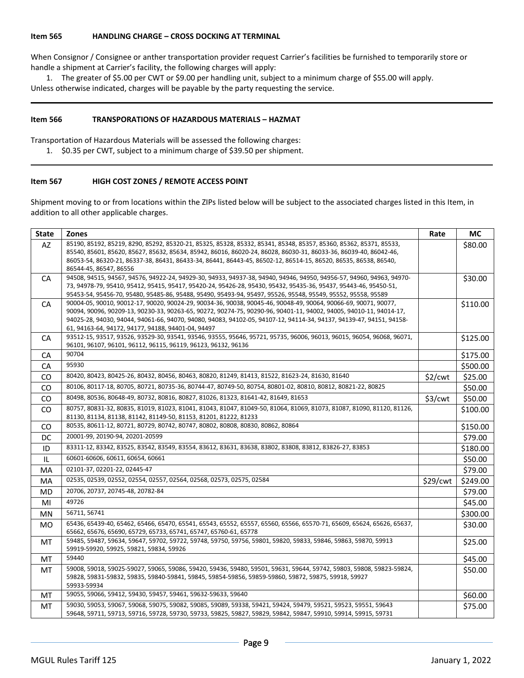#### **Item 565 HANDLING CHARGE – CROSS DOCKING AT TERMINAL**

When Consignor / Consignee or anther transportation provider request Carrier's facilities be furnished to temporarily store or handle a shipment at Carrier's facility, the following charges will apply:

1. The greater of \$5.00 per CWT or \$9.00 per handling unit, subject to a minimum charge of \$55.00 will apply. Unless otherwise indicated, charges will be payable by the party requesting the service.

#### **Item 566 TRANSPORATIONS OF HAZARDOUS MATERIALS – HAZMAT**

Transportation of Hazardous Materials will be assessed the following charges:

1. \$0.35 per CWT, subject to a minimum charge of \$39.50 per shipment.

## **Item 567 HIGH COST ZONES / REMOTE ACCESS POINT**

Shipment moving to or from locations within the ZIPs listed below will be subject to the associated charges listed in this Item, in addition to all other applicable charges.

| <b>State</b> | <b>Zones</b>                                                                                                                                                                                                                                                                                                                                                                                                       | Rate     | <b>MC</b> |
|--------------|--------------------------------------------------------------------------------------------------------------------------------------------------------------------------------------------------------------------------------------------------------------------------------------------------------------------------------------------------------------------------------------------------------------------|----------|-----------|
| AZ           | 85190, 85192, 85219, 8290, 85292, 85320-21, 85325, 85328, 85332, 85341, 85348, 85357, 85360, 85362, 85371, 85533,<br>85540, 85601, 85620, 85627, 85632, 85634, 85942, 86016, 86020-24, 86028, 86030-31, 86033-36, 86039-40, 86042-46,<br>86053-54, 86320-21, 86337-38, 86431, 86433-34, 86441, 86443-45, 86502-12, 86514-15, 86520, 86535, 86538, 86540,<br>86544-45, 86547, 86556                                 |          | \$80.00   |
| CA           | 94508, 94515, 94567, 94576, 94922-24, 94929-30, 94933, 94937-38, 94940, 94946, 94950, 94956-57, 94960, 94963, 94970-<br>73, 94978-79, 95410, 95412, 95415, 95417, 95420-24, 95426-28, 95430, 95432, 95435-36, 95437, 95443-46, 95450-51,<br>95453-54, 95456-70, 95480, 95485-86, 95488, 95490, 95493-94, 95497, 95526, 95548, 95549, 95552, 95558, 95589                                                           |          | \$30.00   |
| CA           | 90004-05, 90010, 90012-17, 90020, 90024-29, 90034-36, 90038, 90045-46, 90048-49, 90064, 90066-69, 90071, 90077,<br>90094, 90096, 90209-13, 90230-33, 90263-65, 90272, 90274-75, 90290-96, 90401-11, 94002, 94005, 94010-11, 94014-17,<br>94025-28, 94030, 94044, 94061-66, 94070, 94080, 94083, 94102-05, 94107-12, 94114-34, 94137, 94139-47, 94151, 94158-<br>61, 94163-64, 94172, 94177, 94188, 94401-04, 94497 |          | \$110.00  |
| CA           | 93512-15, 93517, 93526, 93529-30, 93541, 93546, 93555, 95646, 95721, 95735, 96006, 96013, 96015, 96054, 96068, 96071,<br>96101, 96107, 96101, 96112, 96115, 96119, 96123, 96132, 96136                                                                                                                                                                                                                             |          | \$125.00  |
| CA           | 90704                                                                                                                                                                                                                                                                                                                                                                                                              |          | \$175.00  |
| <b>CA</b>    | 95930                                                                                                                                                                                                                                                                                                                                                                                                              |          | \$500.00  |
| <b>CO</b>    | 80420, 80423, 80425-26, 80432, 80456, 80463, 80820, 81249, 81413, 81522, 81623-24, 81630, 81640                                                                                                                                                                                                                                                                                                                    | \$2/cwt  | \$25.00   |
| CO           | 80106, 80117-18, 80705, 80721, 80735-36, 80744-47, 80749-50, 80754, 80801-02, 80810, 80812, 80821-22, 80825                                                                                                                                                                                                                                                                                                        |          | \$50.00   |
| CO           | 80498, 80536, 80648-49, 80732, 80816, 80827, 81026, 81323, 81641-42, 81649, 81653                                                                                                                                                                                                                                                                                                                                  | \$3/cwt  | \$50.00   |
| <b>CO</b>    | 80757, 80831-32, 80835, 81019, 81023, 81041, 81043, 81047, 81049-50, 81064, 81069, 81073, 81087, 81090, 81120, 81126,<br>81130, 81134, 81138, 81142, 81149-50, 81153, 81201, 81222, 81233                                                                                                                                                                                                                          |          | \$100.00  |
| CO           | 80535, 80611-12, 80721, 80729, 80742, 80747, 80802, 80808, 80830, 80862, 80864                                                                                                                                                                                                                                                                                                                                     |          | \$150.00  |
| DC           | 20001-99, 20190-94, 20201-20599                                                                                                                                                                                                                                                                                                                                                                                    |          | \$79.00   |
| ID           | 83311-12, 83342, 83525, 83542, 83549, 83554, 83612, 83631, 83638, 83802, 83808, 83812, 83826-27, 83853                                                                                                                                                                                                                                                                                                             |          | \$180.00  |
| IL           | 60601-60606, 60611, 60654, 60661                                                                                                                                                                                                                                                                                                                                                                                   |          | \$50.00   |
| MA           | 02101-37, 02201-22, 02445-47                                                                                                                                                                                                                                                                                                                                                                                       |          | \$79.00   |
| MA           | 02535, 02539, 02552, 02554, 02557, 02564, 02568, 02573, 02575, 02584                                                                                                                                                                                                                                                                                                                                               | \$29/cwt | \$249.00  |
| MD           | 20706, 20737, 20745-48, 20782-84                                                                                                                                                                                                                                                                                                                                                                                   |          | \$79.00   |
| MI           | 49726                                                                                                                                                                                                                                                                                                                                                                                                              |          | \$45.00   |
| <b>MN</b>    | 56711, 56741                                                                                                                                                                                                                                                                                                                                                                                                       |          | \$300.00  |
| MO.          | 65436, 65439-40, 65462, 65466, 65470, 65541, 65543, 65552, 65557, 65560, 65566, 65570-71, 65609, 65624, 65626, 65637,<br>65662, 65676, 65690, 65729, 65733, 65741, 65747, 65760-61, 65778                                                                                                                                                                                                                          |          | \$30.00   |
| MT           | 59485, 59487, 59634, 59647, 59702, 59722, 59748, 59750, 59756, 59801, 59820, 59833, 59846, 59863, 59870, 59913<br>59919-59920, 59925, 59821, 59834, 59926                                                                                                                                                                                                                                                          |          | \$25.00   |
| MT           | 59440                                                                                                                                                                                                                                                                                                                                                                                                              |          | \$45.00   |
| МT           | 59008, 59018, 59025-59027, 59065, 59086, 59420, 59436, 59480, 59501, 59631, 59644, 59742, 59803, 59808, 59823-59824,<br>59828, 59831-59832, 59835, 59840-59841, 59845, 59854-59856, 59859-59860, 59872, 59875, 59918, 59927<br>59933-59934                                                                                                                                                                         |          | \$50.00   |
| МT           | 59055, 59066, 59412, 59430, 59457, 59461, 59632-59633, 59640                                                                                                                                                                                                                                                                                                                                                       |          | \$60.00   |
| МT           | 59030, 59053, 59067, 59068, 59075, 59082, 59085, 59089, 59338, 59421, 59424, 59479, 59521, 59523, 59551, 59643<br>59648, 59711, 59713, 59716, 59728, 59730, 59733, 59825, 59827, 59829, 59842, 59847, 59910, 59914, 59915, 59731                                                                                                                                                                                   |          | \$75.00   |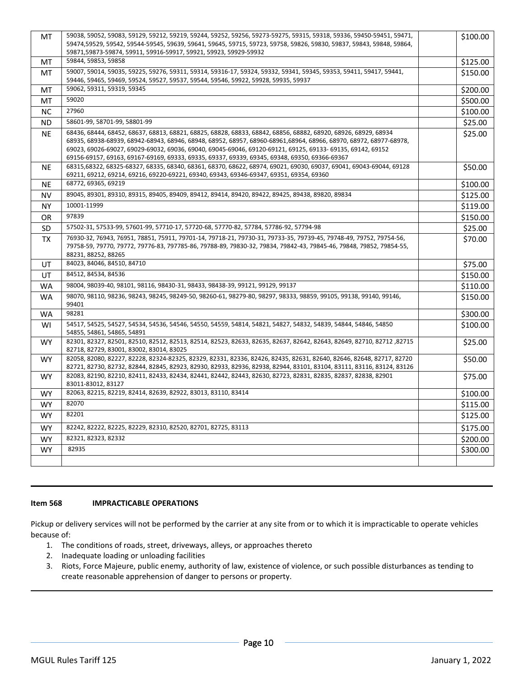| MT        | 59038, 59052, 59083, 59129, 59212, 59219, 59244, 59252, 59256, 59273-59275, 59315, 59318, 59336, 59450-59451, 59471,<br>59474,59529, 59542, 59544-59545, 59639, 59641, 59645, 59715, 59723, 59758, 59826, 59830, 59837, 59843, 59848, 59864,<br>59871,59873-59874, 59911, 59916-59917, 59921, 59923, 59929-59932                                                                                                                                   | \$100.00 |
|-----------|----------------------------------------------------------------------------------------------------------------------------------------------------------------------------------------------------------------------------------------------------------------------------------------------------------------------------------------------------------------------------------------------------------------------------------------------------|----------|
| MT        | 59844, 59853, 59858                                                                                                                                                                                                                                                                                                                                                                                                                                | \$125.00 |
| MT        | 59007, 59014, 59035, 59225, 59276, 59311, 59314, 59316-17, 59324, 59332, 59341, 59345, 59353, 59411, 59417, 59441,<br>59446, 59465, 59469, 59524, 59527, 59537, 59544, 59546, 59922, 59928, 59935, 59937                                                                                                                                                                                                                                           | \$150.00 |
| МT        | 59062, 59311, 59319, 59345                                                                                                                                                                                                                                                                                                                                                                                                                         | \$200.00 |
| MT        | 59020                                                                                                                                                                                                                                                                                                                                                                                                                                              | \$500.00 |
| <b>NC</b> | 27960                                                                                                                                                                                                                                                                                                                                                                                                                                              | \$100.00 |
| <b>ND</b> | 58601-99, 58701-99, 58801-99                                                                                                                                                                                                                                                                                                                                                                                                                       | \$25.00  |
| <b>NE</b> | 68436, 68444, 68452, 68637, 68813, 68821, 68825, 68828, 68833, 68842, 68856, 68882, 68920, 68926, 68929, 68934<br>68935, 68938-68939, 68942-68943, 68946, 68948, 68952, 68957, 68960-68961,68964, 68966, 68970, 68972, 68977-68978,<br>69023, 69026-69027, 69029-69032, 69036, 69040, 69045-69046, 69120-69121, 69125, 69133- 69135, 69142, 69152<br>69156-69157, 69163, 69167-69169, 69333, 69335, 69337, 69339, 69345, 69348, 69350, 69366-69367 | \$25.00  |
| <b>NE</b> | 68315,68322, 68325-68327, 68335, 68340, 68361, 68370, 68622, 68974, 69021, 69030, 69037, 69041, 69043-69044, 69128<br>69211, 69212, 69214, 69216, 69220-69221, 69340, 69343, 69346-69347, 69351, 69354, 69360                                                                                                                                                                                                                                      | \$50.00  |
| <b>NE</b> | 68772, 69365, 69219                                                                                                                                                                                                                                                                                                                                                                                                                                | \$100.00 |
| NV        | 89045, 89301, 89310, 89315, 89405, 89409, 89412, 89414, 89420, 89422, 89425, 89438, 89820, 89834                                                                                                                                                                                                                                                                                                                                                   | \$125.00 |
| <b>NY</b> | 10001-11999                                                                                                                                                                                                                                                                                                                                                                                                                                        | \$119.00 |
| 0R        | 97839                                                                                                                                                                                                                                                                                                                                                                                                                                              | \$150.00 |
| SD        | 57502-31, 57533-99, 57601-99, 57710-17, 57720-68, 57770-82, 57784, 57786-92, 57794-98                                                                                                                                                                                                                                                                                                                                                              | \$25.00  |
| <b>TX</b> | 76930-32, 76943, 76951, 78851, 75911, 79701-14, 79718-21, 79730-31, 79733-35, 79739-45, 79748-49, 79752, 79754-56,<br>79758-59, 79770, 79772, 79776-83, 797785-86, 79788-89, 79830-32, 79834, 79842-43, 79845-46, 79848, 79852, 79854-55,<br>88231, 88252, 88265                                                                                                                                                                                   | \$70.00  |
| UT        | 84023, 84046, 84510, 84710                                                                                                                                                                                                                                                                                                                                                                                                                         | \$75.00  |
| UT        | 84512, 84534, 84536                                                                                                                                                                                                                                                                                                                                                                                                                                | \$150.00 |
| <b>WA</b> | 98004, 98039-40, 98101, 98116, 98430-31, 98433, 98438-39, 99121, 99129, 99137                                                                                                                                                                                                                                                                                                                                                                      | \$110.00 |
| <b>WA</b> | 98070, 98110, 98236, 98243, 98245, 98249-50, 98260-61, 98279-80, 98297, 98333, 98859, 99105, 99138, 99140, 99146,<br>99401                                                                                                                                                                                                                                                                                                                         | \$150.00 |
| <b>WA</b> | 98281                                                                                                                                                                                                                                                                                                                                                                                                                                              | \$300.00 |
| WI        | 54517, 54525, 54527, 54534, 54536, 54546, 54550, 54559, 54814, 54821, 54827, 54832, 54839, 54844, 54846, 54850<br>54855, 54861, 54865, 54891                                                                                                                                                                                                                                                                                                       | \$100.00 |
| <b>WY</b> | 82301, 82327, 82501, 82510, 82512, 82513, 82514, 82523, 82633, 82635, 82637, 82642, 82643, 82649, 82710, 82712<br>82718, 82729, 83001, 83002, 83014, 83025                                                                                                                                                                                                                                                                                         | \$25.00  |
| <b>WY</b> | 82058, 82080, 82227, 82228, 82324-82325, 82329, 82331, 82336, 82426, 82435, 82631, 82640, 82646, 82648, 82717, 82720<br>82721, 82730, 82732, 82844, 82845, 82923, 82930, 82933, 82936, 82938, 82944, 83101, 83104, 83111, 83116, 83124, 83126                                                                                                                                                                                                      | \$50.00  |
| <b>WY</b> | 82083, 82190, 82210, 82411, 82433, 82434, 82441, 82442, 82443, 82630, 82723, 82831, 82835, 82837, 82838, 82901<br>83011-83012, 83127                                                                                                                                                                                                                                                                                                               | \$75.00  |
| WY.       | 82063, 82215, 82219, 82414, 82639, 82922, 83013, 83110, 83414                                                                                                                                                                                                                                                                                                                                                                                      | \$100.00 |
| WY        | 82070                                                                                                                                                                                                                                                                                                                                                                                                                                              | \$115.00 |
| <b>WY</b> | 82201                                                                                                                                                                                                                                                                                                                                                                                                                                              | \$125.00 |
| <b>WY</b> | 82242, 82222, 82225, 82229, 82310, 82520, 82701, 82725, 83113                                                                                                                                                                                                                                                                                                                                                                                      | \$175.00 |
| <b>WY</b> | 82321, 82323, 82332                                                                                                                                                                                                                                                                                                                                                                                                                                | \$200.00 |
| <b>WY</b> | 82935                                                                                                                                                                                                                                                                                                                                                                                                                                              | \$300.00 |
|           |                                                                                                                                                                                                                                                                                                                                                                                                                                                    |          |

# **Item 568 IMPRACTICABLE OPERATIONS**

Pickup or delivery services will not be performed by the carrier at any site from or to which it is impracticable to operate vehicles because of:

- 1. The conditions of roads, street, driveways, alleys, or approaches thereto
- 2. Inadequate loading or unloading facilities
- 3. Riots, Force Majeure, public enemy, authority of law, existence of violence, or such possible disturbances as tending to create reasonable apprehension of danger to persons or property.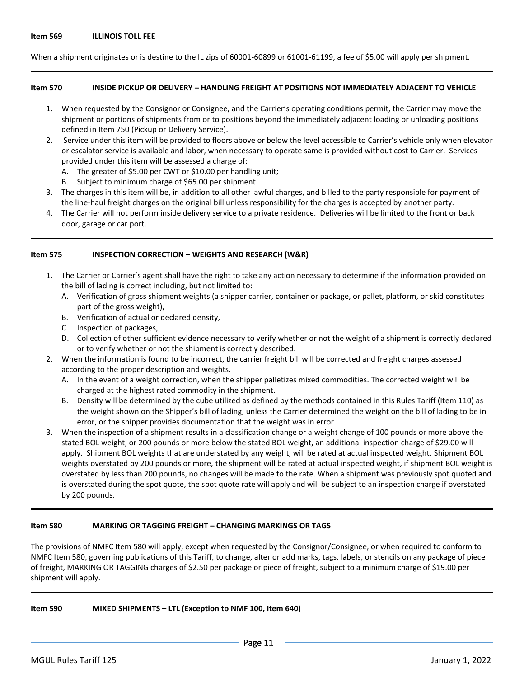When a shipment originates or is destine to the IL zips of 60001-60899 or 61001-61199, a fee of \$5.00 will apply per shipment.

#### **Item 570 INSIDE PICKUP OR DELIVERY – HANDLING FREIGHT AT POSITIONS NOT IMMEDIATELY ADJACENT TO VEHICLE**

- 1. When requested by the Consignor or Consignee, and the Carrier's operating conditions permit, the Carrier may move the shipment or portions of shipments from or to positions beyond the immediately adjacent loading or unloading positions defined in Item 750 (Pickup or Delivery Service).
- 2. Service under this item will be provided to floors above or below the level accessible to Carrier's vehicle only when elevator or escalator service is available and labor, when necessary to operate same is provided without cost to Carrier. Services provided under this item will be assessed a charge of:
	- A. The greater of \$5.00 per CWT or \$10.00 per handling unit;
	- B. Subject to minimum charge of \$65.00 per shipment.
- 3. The charges in this item will be, in addition to all other lawful charges, and billed to the party responsible for payment of the line-haul freight charges on the original bill unless responsibility for the charges is accepted by another party.
- 4. The Carrier will not perform inside delivery service to a private residence. Deliveries will be limited to the front or back door, garage or car port.

#### **Item 575 INSPECTION CORRECTION – WEIGHTS AND RESEARCH (W&R)**

- 1. The Carrier or Carrier's agent shall have the right to take any action necessary to determine if the information provided on the bill of lading is correct including, but not limited to:
	- A. Verification of gross shipment weights (a shipper carrier, container or package, or pallet, platform, or skid constitutes part of the gross weight),
	- B. Verification of actual or declared density,
	- C. Inspection of packages,
	- D. Collection of other sufficient evidence necessary to verify whether or not the weight of a shipment is correctly declared or to verify whether or not the shipment is correctly described.
- 2. When the information is found to be incorrect, the carrier freight bill will be corrected and freight charges assessed according to the proper description and weights.
	- A. In the event of a weight correction, when the shipper palletizes mixed commodities. The corrected weight will be charged at the highest rated commodity in the shipment.
	- B. Density will be determined by the cube utilized as defined by the methods contained in this Rules Tariff (Item 110) as the weight shown on the Shipper's bill of lading, unless the Carrier determined the weight on the bill of lading to be in error, or the shipper provides documentation that the weight was in error.
- 3. When the inspection of a shipment results in a classification change or a weight change of 100 pounds or more above the stated BOL weight, or 200 pounds or more below the stated BOL weight, an additional inspection charge of \$29.00 will apply. Shipment BOL weights that are understated by any weight, will be rated at actual inspected weight. Shipment BOL weights overstated by 200 pounds or more, the shipment will be rated at actual inspected weight, if shipment BOL weight is overstated by less than 200 pounds, no changes will be made to the rate. When a shipment was previously spot quoted and is overstated during the spot quote, the spot quote rate will apply and will be subject to an inspection charge if overstated by 200 pounds.

#### **Item 580 MARKING OR TAGGING FREIGHT – CHANGING MARKINGS OR TAGS**

The provisions of NMFC Item 580 will apply, except when requested by the Consignor/Consignee, or when required to conform to NMFC Item 580, governing publications of this Tariff, to change, alter or add marks, tags, labels, or stencils on any package of piece of freight, MARKING OR TAGGING charges of \$2.50 per package or piece of freight, subject to a minimum charge of \$19.00 per shipment will apply.

**Item 590 MIXED SHIPMENTS – LTL (Exception to NMF 100, Item 640)**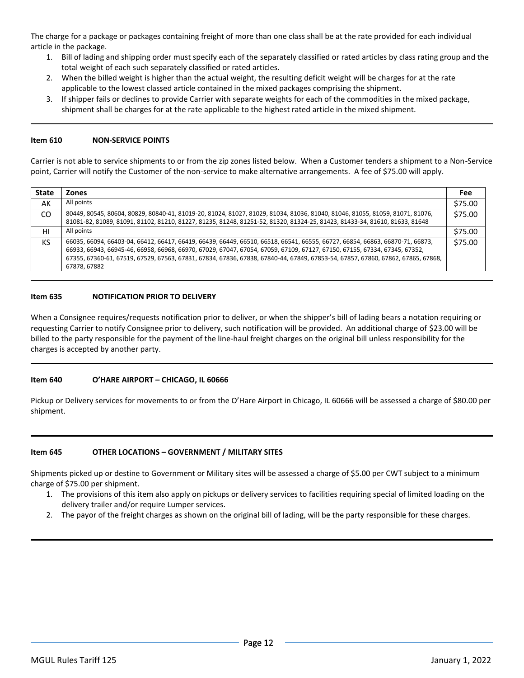The charge for a package or packages containing freight of more than one class shall be at the rate provided for each individual article in the package.

- 1. Bill of lading and shipping order must specify each of the separately classified or rated articles by class rating group and the total weight of each such separately classified or rated articles.
- 2. When the billed weight is higher than the actual weight, the resulting deficit weight will be charges for at the rate applicable to the lowest classed article contained in the mixed packages comprising the shipment.
- 3. If shipper fails or declines to provide Carrier with separate weights for each of the commodities in the mixed package, shipment shall be charges for at the rate applicable to the highest rated article in the mixed shipment.

## **Item 610 NON-SERVICE POINTS**

Carrier is not able to service shipments to or from the zip zones listed below. When a Customer tenders a shipment to a Non-Service point, Carrier will notify the Customer of the non-service to make alternative arrangements. A fee of \$75.00 will apply.

| <b>State</b> | <b>Zones</b>                                                                                                                                                                                                                                                                                                                                                                                                 | <b>Fee</b> |
|--------------|--------------------------------------------------------------------------------------------------------------------------------------------------------------------------------------------------------------------------------------------------------------------------------------------------------------------------------------------------------------------------------------------------------------|------------|
| AK           | All points                                                                                                                                                                                                                                                                                                                                                                                                   | \$75.00    |
| CO.          | 80449, 80545, 80604, 80829, 80840-41, 81019-20, 81024, 81027, 81029, 81034, 81036, 81040, 81046, 81055, 81059, 81071, 81076,<br>81081-82, 81089, 81091, 81102, 81210, 81227, 81235, 81248, 81251-52, 81320, 81324-25, 81423, 81433-34, 81610, 81633, 81648                                                                                                                                                   | \$75.00    |
| HI           | All points                                                                                                                                                                                                                                                                                                                                                                                                   | \$75.00    |
| KS           | 66035, 66094, 66403-04, 66412, 66417, 66419, 66439, 66449, 66510, 66518, 66541, 66555, 66727, 66854, 66863, 66870-71, 66873,<br>66933, 66943, 66945-46, 66958, 66968, 66970, 67029, 67047, 67054, 67059, 67109, 67127, 67150, 67155, 67334, 67345, 67352,<br>67355, 67360-61, 67519, 67529, 67563, 67831, 67834, 67836, 67838, 67840-44, 67849, 67853-54, 67857, 67860, 67862, 67865, 67868,<br>67878, 67882 | \$75.00    |

## **Item 635 NOTIFICATION PRIOR TO DELIVERY**

When a Consignee requires/requests notification prior to deliver, or when the shipper's bill of lading bears a notation requiring or requesting Carrier to notify Consignee prior to delivery, such notification will be provided. An additional charge of \$23.00 will be billed to the party responsible for the payment of the line-haul freight charges on the original bill unless responsibility for the charges is accepted by another party.

## **Item 640 O'HARE AIRPORT – CHICAGO, IL 60666**

Pickup or Delivery services for movements to or from the O'Hare Airport in Chicago, IL 60666 will be assessed a charge of \$80.00 per shipment.

## **Item 645 OTHER LOCATIONS – GOVERNMENT / MILITARY SITES**

Shipments picked up or destine to Government or Military sites will be assessed a charge of \$5.00 per CWT subject to a minimum charge of \$75.00 per shipment.

- 1. The provisions of this item also apply on pickups or delivery services to facilities requiring special of limited loading on the delivery trailer and/or require Lumper services.
- 2. The payor of the freight charges as shown on the original bill of lading, will be the party responsible for these charges.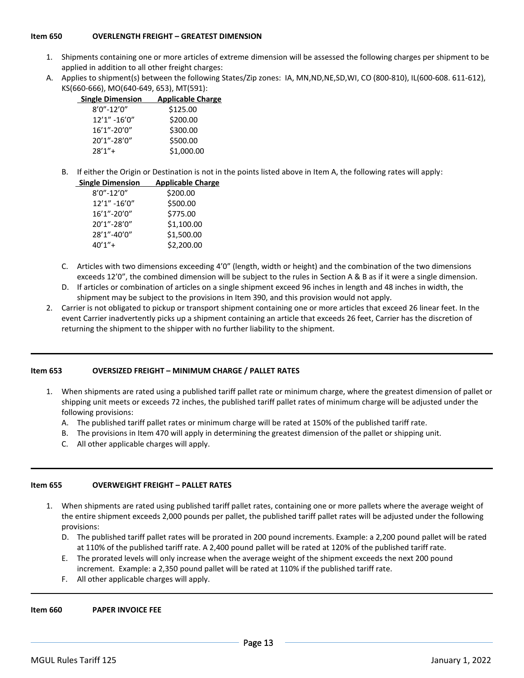## **Item 650 OVERLENGTH FREIGHT – GREATEST DIMENSION**

- 1. Shipments containing one or more articles of extreme dimension will be assessed the following charges per shipment to be applied in addition to all other freight charges:
- A. Applies to shipment(s) between the following States/Zip zones: IA, MN,ND,NE,SD,WI, CO (800-810), IL(600-608. 611-612), KS(660-666), MO(640-649, 653), MT(591):

| <b>Single Dimension</b> | <b>Applicable Charge</b> |
|-------------------------|--------------------------|
| $8'0'' - 12'0''$        | \$125.00                 |
| 12'1" -16'0"            | \$200.00                 |
| 16'1"-20'0"             | \$300.00                 |
| 20'1"-28'0"             | \$500.00                 |
| $28'1'' +$              | \$1,000.00               |

B. If either the Origin or Destination is not in the points listed above in Item A, the following rates will apply:

| <b>Single Dimension</b> | <b>Applicable Charge</b> |
|-------------------------|--------------------------|
| $8'0'' - 12'0''$        | \$200.00                 |
| 12'1" -16'0"            | \$500.00                 |
| 16'1"-20'0"             | \$775.00                 |
| 20'1"-28'0"             | \$1,100.00               |
| 28'1"-40'0"             | \$1,500.00               |
| $40'1'' +$              | \$2,200.00               |

- C. Articles with two dimensions exceeding 4'0" (length, width or height) and the combination of the two dimensions exceeds 12'0", the combined dimension will be subject to the rules in Section A & B as if it were a single dimension.
- D. If articles or combination of articles on a single shipment exceed 96 inches in length and 48 inches in width, the shipment may be subject to the provisions in Item 390, and this provision would not apply.
- 2. Carrier is not obligated to pickup or transport shipment containing one or more articles that exceed 26 linear feet. In the event Carrier inadvertently picks up a shipment containing an article that exceeds 26 feet, Carrier has the discretion of returning the shipment to the shipper with no further liability to the shipment.

#### **Item 653 OVERSIZED FREIGHT – MINIMUM CHARGE / PALLET RATES**

- 1. When shipments are rated using a published tariff pallet rate or minimum charge, where the greatest dimension of pallet or shipping unit meets or exceeds 72 inches, the published tariff pallet rates of minimum charge will be adjusted under the following provisions:
	- A. The published tariff pallet rates or minimum charge will be rated at 150% of the published tariff rate.
	- B. The provisions in Item 470 will apply in determining the greatest dimension of the pallet or shipping unit.
	- C. All other applicable charges will apply.

#### **Item 655 OVERWEIGHT FREIGHT – PALLET RATES**

- 1. When shipments are rated using published tariff pallet rates, containing one or more pallets where the average weight of the entire shipment exceeds 2,000 pounds per pallet, the published tariff pallet rates will be adjusted under the following provisions:
	- D. The published tariff pallet rates will be prorated in 200 pound increments. Example: a 2,200 pound pallet will be rated at 110% of the published tariff rate. A 2,400 pound pallet will be rated at 120% of the published tariff rate.
	- E. The prorated levels will only increase when the average weight of the shipment exceeds the next 200 pound increment. Example: a 2,350 pound pallet will be rated at 110% if the published tariff rate.
	- F. All other applicable charges will apply.

#### **Item 660 PAPER INVOICE FEE**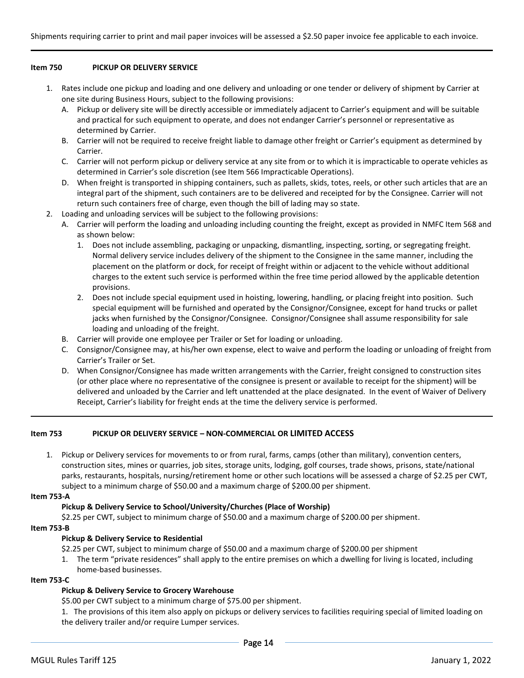#### **Item 750 PICKUP OR DELIVERY SERVICE**

- 1. Rates include one pickup and loading and one delivery and unloading or one tender or delivery of shipment by Carrier at one site during Business Hours, subject to the following provisions:
	- A. Pickup or delivery site will be directly accessible or immediately adjacent to Carrier's equipment and will be suitable and practical for such equipment to operate, and does not endanger Carrier's personnel or representative as determined by Carrier.
	- B. Carrier will not be required to receive freight liable to damage other freight or Carrier's equipment as determined by Carrier.
	- C. Carrier will not perform pickup or delivery service at any site from or to which it is impracticable to operate vehicles as determined in Carrier's sole discretion (see Item 566 Impracticable Operations).
	- D. When freight is transported in shipping containers, such as pallets, skids, totes, reels, or other such articles that are an integral part of the shipment, such containers are to be delivered and receipted for by the Consignee. Carrier will not return such containers free of charge, even though the bill of lading may so state.
- 2. Loading and unloading services will be subject to the following provisions:
	- A. Carrier will perform the loading and unloading including counting the freight, except as provided in NMFC Item 568 and as shown below:
		- 1. Does not include assembling, packaging or unpacking, dismantling, inspecting, sorting, or segregating freight. Normal delivery service includes delivery of the shipment to the Consignee in the same manner, including the placement on the platform or dock, for receipt of freight within or adjacent to the vehicle without additional charges to the extent such service is performed within the free time period allowed by the applicable detention provisions.
		- 2. Does not include special equipment used in hoisting, lowering, handling, or placing freight into position. Such special equipment will be furnished and operated by the Consignor/Consignee, except for hand trucks or pallet jacks when furnished by the Consignor/Consignee. Consignor/Consignee shall assume responsibility for sale loading and unloading of the freight.
	- B. Carrier will provide one employee per Trailer or Set for loading or unloading.
	- C. Consignor/Consignee may, at his/her own expense, elect to waive and perform the loading or unloading of freight from Carrier's Trailer or Set.
	- D. When Consignor/Consignee has made written arrangements with the Carrier, freight consigned to construction sites (or other place where no representative of the consignee is present or available to receipt for the shipment) will be delivered and unloaded by the Carrier and left unattended at the place designated. In the event of Waiver of Delivery Receipt, Carrier's liability for freight ends at the time the delivery service is performed.

#### **Item 753 PICKUP OR DELIVERY SERVICE – NON-COMMERCIAL OR LIMITED ACCESS**

1. Pickup or Delivery services for movements to or from rural, farms, camps (other than military), convention centers, construction sites, mines or quarries, job sites, storage units, lodging, golf courses, trade shows, prisons, state/national parks, restaurants, hospitals, nursing/retirement home or other such locations will be assessed a charge of \$2.25 per CWT, subject to a minimum charge of \$50.00 and a maximum charge of \$200.00 per shipment.

#### **Item 753-A**

#### **Pickup & Delivery Service to School/University/Churches (Place of Worship)**

\$2.25 per CWT, subject to minimum charge of \$50.00 and a maximum charge of \$200.00 per shipment.

#### **Item 753-B**

#### **Pickup & Delivery Service to Residential**

\$2.25 per CWT, subject to minimum charge of \$50.00 and a maximum charge of \$200.00 per shipment

1. The term "private residences" shall apply to the entire premises on which a dwelling for living is located, including home-based businesses.

#### **Item 753-C**

#### **Pickup & Delivery Service to Grocery Warehouse**

\$5.00 per CWT subject to a minimum charge of \$75.00 per shipment.

1. The provisions of this item also apply on pickups or delivery services to facilities requiring special of limited loading on the delivery trailer and/or require Lumper services.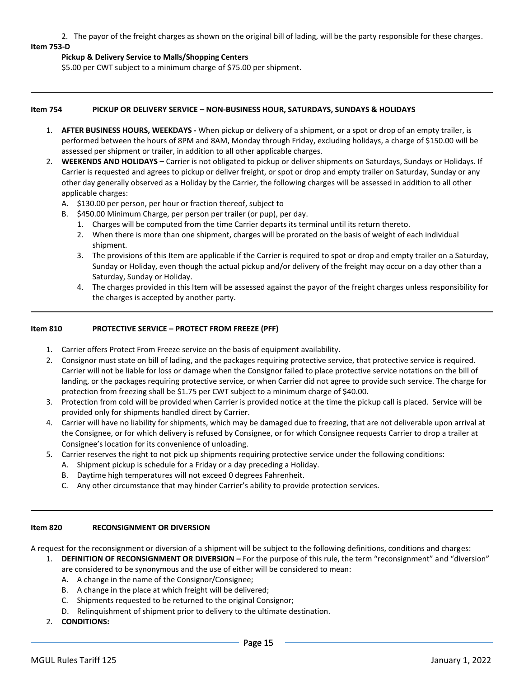2. The payor of the freight charges as shown on the original bill of lading, will be the party responsible for these charges. **Item 753-D**

## **Pickup & Delivery Service to Malls/Shopping Centers**

\$5.00 per CWT subject to a minimum charge of \$75.00 per shipment.

#### **Item 754 PICKUP OR DELIVERY SERVICE – NON-BUSINESS HOUR, SATURDAYS, SUNDAYS & HOLIDAYS**

- 1. **AFTER BUSINESS HOURS, WEEKDAYS -** When pickup or delivery of a shipment, or a spot or drop of an empty trailer, is performed between the hours of 8PM and 8AM, Monday through Friday, excluding holidays, a charge of \$150.00 will be assessed per shipment or trailer, in addition to all other applicable charges.
- 2. **WEEKENDS AND HOLIDAYS –** Carrier is not obligated to pickup or deliver shipments on Saturdays, Sundays or Holidays. If Carrier is requested and agrees to pickup or deliver freight, or spot or drop and empty trailer on Saturday, Sunday or any other day generally observed as a Holiday by the Carrier, the following charges will be assessed in addition to all other applicable charges:
	- A. \$130.00 per person, per hour or fraction thereof, subject to
	- B. \$450.00 Minimum Charge, per person per trailer (or pup), per day.
		- 1. Charges will be computed from the time Carrier departs its terminal until its return thereto.
		- 2. When there is more than one shipment, charges will be prorated on the basis of weight of each individual shipment.
		- 3. The provisions of this Item are applicable if the Carrier is required to spot or drop and empty trailer on a Saturday, Sunday or Holiday, even though the actual pickup and/or delivery of the freight may occur on a day other than a Saturday, Sunday or Holiday.
		- 4. The charges provided in this Item will be assessed against the payor of the freight charges unless responsibility for the charges is accepted by another party.

## **Item 810 PROTECTIVE SERVICE – PROTECT FROM FREEZE (PFF)**

- 1. Carrier offers Protect From Freeze service on the basis of equipment availability.
- 2. Consignor must state on bill of lading, and the packages requiring protective service, that protective service is required. Carrier will not be liable for loss or damage when the Consignor failed to place protective service notations on the bill of landing, or the packages requiring protective service, or when Carrier did not agree to provide such service. The charge for protection from freezing shall be \$1.75 per CWT subject to a minimum charge of \$40.00.
- 3. Protection from cold will be provided when Carrier is provided notice at the time the pickup call is placed. Service will be provided only for shipments handled direct by Carrier.
- 4. Carrier will have no liability for shipments, which may be damaged due to freezing, that are not deliverable upon arrival at the Consignee, or for which delivery is refused by Consignee, or for which Consignee requests Carrier to drop a trailer at Consignee's location for its convenience of unloading.
- 5. Carrier reserves the right to not pick up shipments requiring protective service under the following conditions:
	- A. Shipment pickup is schedule for a Friday or a day preceding a Holiday.
	- B. Daytime high temperatures will not exceed 0 degrees Fahrenheit.
	- C. Any other circumstance that may hinder Carrier's ability to provide protection services.

## **Item 820 RECONSIGNMENT OR DIVERSION**

A request for the reconsignment or diversion of a shipment will be subject to the following definitions, conditions and charges:

1. **DEFINITION OF RECONSIGNMENT OR DIVERSION –** For the purpose of this rule, the term "reconsignment" and "diversion" are considered to be synonymous and the use of either will be considered to mean:

- A. A change in the name of the Consignor/Consignee;
- B. A change in the place at which freight will be delivered;
- C. Shipments requested to be returned to the original Consignor;
- D. Relinquishment of shipment prior to delivery to the ultimate destination.
- 2. **CONDITIONS:**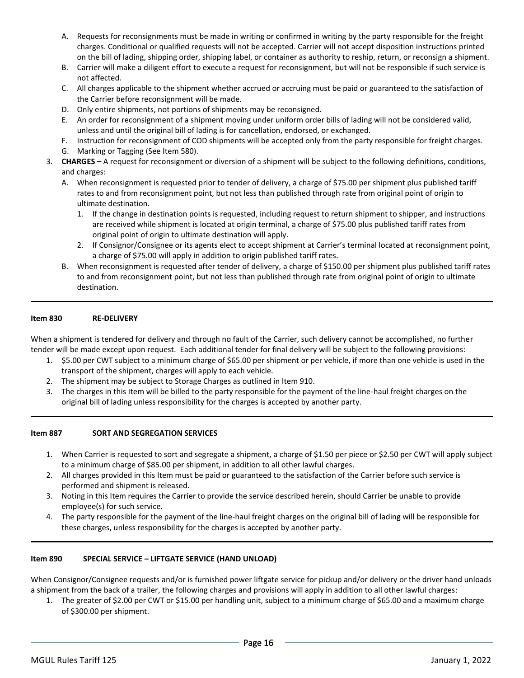- A. Requests for reconsignments must be made in writing or confirmed in writing by the party responsible for the freight charges. Conditional or qualified requests will not be accepted. Carrier will not accept disposition instructions printed on the bill of lading, shipping order, shipping label, or container as authority to reship, return, or reconsign a shipment.
- B. Carrier will make a diligent effort to execute a request for reconsignment, but will not be responsible if such service is not affected.
- C. All charges applicable to the shipment whether accrued or accruing must be paid or guaranteed to the satisfaction of the Carrier before reconsignment will be made.
- D. Only entire shipments, not portions of shipments may be reconsigned.
- E. An order for reconsignment of a shipment moving under uniform order bills of lading will not be considered valid, unless and until the original bill of lading is for cancellation, endorsed, or exchanged.
- F. Instruction for reconsignment of COD shipments will be accepted only from the party responsible for freight charges.
- G. Marking or Tagging (See Item 580).
- 3. **CHARGES –** A request for reconsignment or diversion of a shipment will be subject to the following definitions, conditions, and charges:
	- A. When reconsignment is requested prior to tender of delivery, a charge of \$75.00 per shipment plus published tariff rates to and from reconsignment point, but not less than published through rate from original point of origin to ultimate destination.
		- 1. If the change in destination points is requested, including request to return shipment to shipper, and instructions are received while shipment is located at origin terminal, a charge of \$75.00 plus published tariff rates from original point of origin to ultimate destination will apply.
		- 2. If Consignor/Consignee or its agents elect to accept shipment at Carrier's terminal located at reconsignment point, a charge of \$75.00 will apply in addition to origin published tariff rates.
	- B. When reconsignment is requested after tender of delivery, a charge of \$150.00 per shipment plus published tariff rates to and from reconsignment point, but not less than published through rate from original point of origin to ultimate destination.

## **Item 830 RE-DELIVERY**

When a shipment is tendered for delivery and through no fault of the Carrier, such delivery cannot be accomplished, no further tender will be made except upon request. Each additional tender for final delivery will be subject to the following provisions:

- 1. \$5.00 per CWT subject to a minimum charge of \$65.00 per shipment or per vehicle, if more than one vehicle is used in the transport of the shipment, charges will apply to each vehicle.
- 2. The shipment may be subject to Storage Charges as outlined in Item 910.
- 3. The charges in this Item will be billed to the party responsible for the payment of the line-haul freight charges on the original bill of lading unless responsibility for the charges is accepted by another party.

#### **Item 887 SORT AND SEGREGATION SERVICES**

- 1. When Carrier is requested to sort and segregate a shipment, a charge of \$1.50 per piece or \$2.50 per CWT will apply subject to a minimum charge of \$85.00 per shipment, in addition to all other lawful charges.
- 2. All charges provided in this Item must be paid or guaranteed to the satisfaction of the Carrier before such service is performed and shipment is released.
- 3. Noting in this Item requires the Carrier to provide the service described herein, should Carrier be unable to provide employee(s) for such service.
- 4. The party responsible for the payment of the line-haul freight charges on the original bill of lading will be responsible for these charges, unless responsibility for the charges is accepted by another party.

#### **Item 890 SPECIAL SERVICE – LIFTGATE SERVICE (HAND UNLOAD)**

When Consignor/Consignee requests and/or is furnished power liftgate service for pickup and/or delivery or the driver hand unloads a shipment from the back of a trailer, the following charges and provisions will apply in addition to all other lawful charges:

1. The greater of \$2.00 per CWT or \$15.00 per handling unit, subject to a minimum charge of \$65.00 and a maximum charge of \$300.00 per shipment.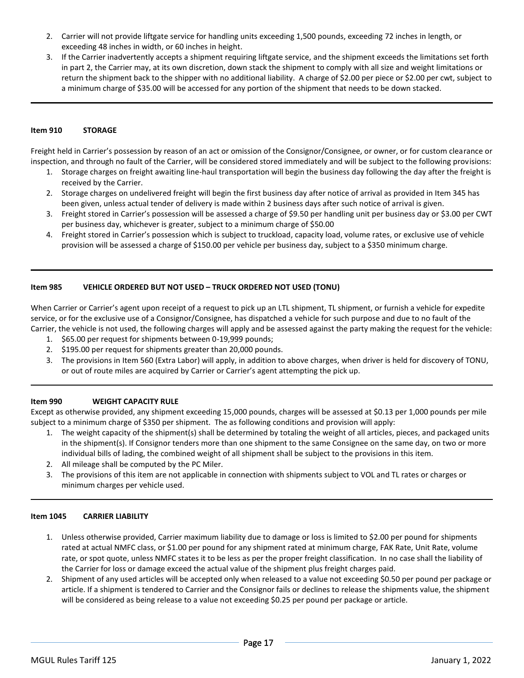- 2. Carrier will not provide liftgate service for handling units exceeding 1,500 pounds, exceeding 72 inches in length, or exceeding 48 inches in width, or 60 inches in height.
- 3. If the Carrier inadvertently accepts a shipment requiring liftgate service, and the shipment exceeds the limitations set forth in part 2, the Carrier may, at its own discretion, down stack the shipment to comply with all size and weight limitations or return the shipment back to the shipper with no additional liability. A charge of \$2.00 per piece or \$2.00 per cwt, subject to a minimum charge of \$35.00 will be accessed for any portion of the shipment that needs to be down stacked.

## **Item 910 STORAGE**

Freight held in Carrier's possession by reason of an act or omission of the Consignor/Consignee, or owner, or for custom clearance or inspection, and through no fault of the Carrier, will be considered stored immediately and will be subject to the following provisions:

- 1. Storage charges on freight awaiting line-haul transportation will begin the business day following the day after the freight is received by the Carrier.
- 2. Storage charges on undelivered freight will begin the first business day after notice of arrival as provided in Item 345 has been given, unless actual tender of delivery is made within 2 business days after such notice of arrival is given.
- 3. Freight stored in Carrier's possession will be assessed a charge of \$9.50 per handling unit per business day or \$3.00 per CWT per business day, whichever is greater, subject to a minimum charge of \$50.00
- 4. Freight stored in Carrier's possession which is subject to truckload, capacity load, volume rates, or exclusive use of vehicle provision will be assessed a charge of \$150.00 per vehicle per business day, subject to a \$350 minimum charge.

## **Item 985 VEHICLE ORDERED BUT NOT USED – TRUCK ORDERED NOT USED (TONU)**

When Carrier or Carrier's agent upon receipt of a request to pick up an LTL shipment, TL shipment, or furnish a vehicle for expedite service, or for the exclusive use of a Consignor/Consignee, has dispatched a vehicle for such purpose and due to no fault of the Carrier, the vehicle is not used, the following charges will apply and be assessed against the party making the request for the vehicle:

- 1. \$65.00 per request for shipments between 0-19,999 pounds;
- 2. \$195.00 per request for shipments greater than 20,000 pounds.
- 3. The provisions in Item 560 (Extra Labor) will apply, in addition to above charges, when driver is held for discovery of TONU, or out of route miles are acquired by Carrier or Carrier's agent attempting the pick up.

## **Item 990 WEIGHT CAPACITY RULE**

Except as otherwise provided, any shipment exceeding 15,000 pounds, charges will be assessed at \$0.13 per 1,000 pounds per mile subject to a minimum charge of \$350 per shipment. The as following conditions and provision will apply:

- 1. The weight capacity of the shipment(s) shall be determined by totaling the weight of all articles, pieces, and packaged units in the shipment(s). If Consignor tenders more than one shipment to the same Consignee on the same day, on two or more individual bills of lading, the combined weight of all shipment shall be subject to the provisions in this item.
- 2. All mileage shall be computed by the PC Miler.
- 3. The provisions of this item are not applicable in connection with shipments subject to VOL and TL rates or charges or minimum charges per vehicle used.

#### **Item 1045 CARRIER LIABILITY**

- 1. Unless otherwise provided, Carrier maximum liability due to damage or loss is limited to \$2.00 per pound for shipments rated at actual NMFC class, or \$1.00 per pound for any shipment rated at minimum charge, FAK Rate, Unit Rate, volume rate, or spot quote, unless NMFC states it to be less as per the proper freight classification. In no case shall the liability of the Carrier for loss or damage exceed the actual value of the shipment plus freight charges paid.
- 2. Shipment of any used articles will be accepted only when released to a value not exceeding \$0.50 per pound per package or article. If a shipment is tendered to Carrier and the Consignor fails or declines to release the shipments value, the shipment will be considered as being release to a value not exceeding \$0.25 per pound per package or article.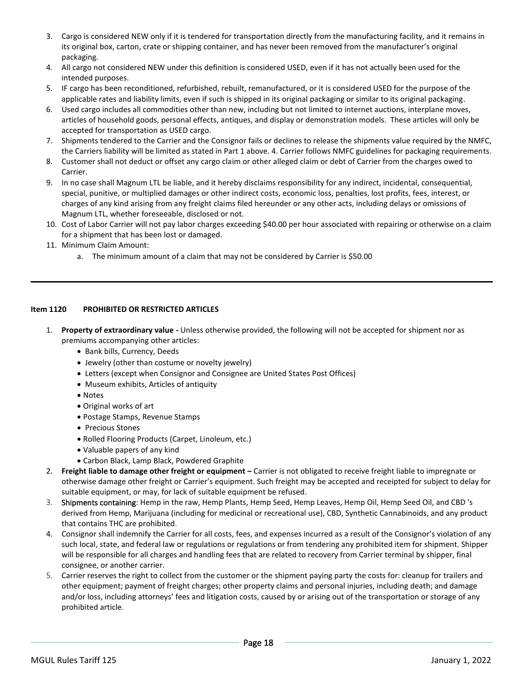- 3. Cargo is considered NEW only if it is tendered for transportation directly from the manufacturing facility, and it remains in its original box, carton, crate or shipping container, and has never been removed from the manufacturer's original packaging.
- 4. All cargo not considered NEW under this definition is considered USED, even if it has not actually been used for the intended purposes.
- 5. IF cargo has been reconditioned, refurbished, rebuilt, remanufactured, or it is considered USED for the purpose of the applicable rates and liability limits, even if such is shipped in its original packaging or similar to its original packaging.
- 6. Used cargo includes all commodities other than new, including but not limited to internet auctions, interplane moves, articles of household goods, personal effects, antiques, and display or demonstration models. These articles will only be accepted for transportation as USED cargo.
- 7. Shipments tendered to the Carrier and the Consignor fails or declines to release the shipments value required by the NMFC, the Carriers liability will be limited as stated in Part 1 above. 4. Carrier follows NMFC guidelines for packaging requirements.
- 8. Customer shall not deduct or offset any cargo claim or other alleged claim or debt of Carrier from the charges owed to Carrier.
- 9. In no case shall Magnum LTL be liable, and it hereby disclaims responsibility for any indirect, incidental, consequential, special, punitive, or multiplied damages or other indirect costs, economic loss, penalties, lost profits, fees, interest, or charges of any kind arising from any freight claims filed hereunder or any other acts, including delays or omissions of Magnum LTL, whether foreseeable, disclosed or not.
- 10. Cost of Labor Carrier will not pay labor charges exceeding \$40.00 per hour associated with repairing or otherwise on a claim for a shipment that has been lost or damaged.
- 11. Minimum Claim Amount:
	- a. The minimum amount of a claim that may not be considered by Carrier is \$50.00

# **Item 1120 PROHIBITED OR RESTRICTED ARTICLES**

- 1. **Property of extraordinary value -** Unless otherwise provided, the following will not be accepted for shipment nor as premiums accompanying other articles:
	- Bank bills, Currency, Deeds
	- Jewelry (other than costume or novelty jewelry)
	- Letters (except when Consignor and Consignee are United States Post Offices)
	- Museum exhibits, Articles of antiquity
	- Notes
	- Original works of art
	- Postage Stamps, Revenue Stamps
	- Precious Stones
	- Rolled Flooring Products (Carpet, Linoleum, etc.)
	- Valuable papers of any kind
	- Carbon Black, Lamp Black, Powdered Graphite
- 2. Freight liable to damage other freight or equipment Carrier is not obligated to receive freight liable to impregnate or otherwise damage other freight or Carrier's equipment. Such freight may be accepted and receipted for subject to delay for suitable equipment, or may, for lack of suitable equipment be refused.
- 3. Shipments containing: Hemp in the raw, Hemp Plants, Hemp Seed, Hemp Leaves, Hemp Oil, Hemp Seed Oil, and CBD 's derived from Hemp, Marijuana (including for medicinal or recreational use), CBD, Synthetic Cannabinoids, and any product that contains THC are prohibited.
- 4. Consignor shall indemnify the Carrier for all costs, fees, and expenses incurred as a result of the Consignor's violation of any such local, state, and federal law or regulations or regulations or from tendering any prohibited item for shipment. Shipper will be responsible for all charges and handling fees that are related to recovery from Carrier terminal by shipper, final consignee, or another carrier.
- 5. Carrier reserves the right to collect from the customer or the shipment paying party the costs for: cleanup for trailers and other equipment; payment of freight charges; other property claims and personal injuries, including death; and damage and/or loss, including attorneys' fees and litigation costs, caused by or arising out of the transportation or storage of any prohibited article.